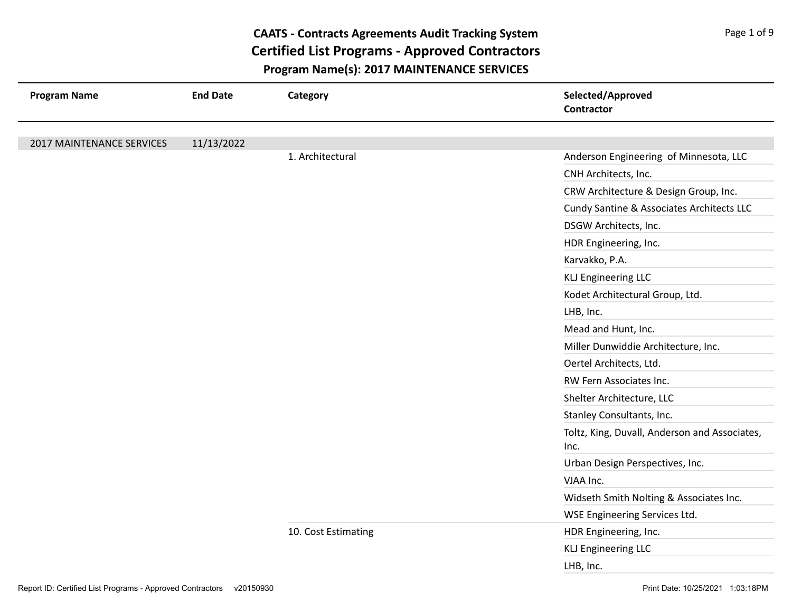| <b>Program Name</b>       | <b>End Date</b> | Category            | Selected/Approved<br><b>Contractor</b>                |
|---------------------------|-----------------|---------------------|-------------------------------------------------------|
|                           |                 |                     |                                                       |
| 2017 MAINTENANCE SERVICES | 11/13/2022      | 1. Architectural    | Anderson Engineering of Minnesota, LLC                |
|                           |                 |                     | CNH Architects, Inc.                                  |
|                           |                 |                     | CRW Architecture & Design Group, Inc.                 |
|                           |                 |                     | Cundy Santine & Associates Architects LLC             |
|                           |                 |                     | DSGW Architects, Inc.                                 |
|                           |                 |                     | HDR Engineering, Inc.                                 |
|                           |                 |                     | Karvakko, P.A.                                        |
|                           |                 |                     |                                                       |
|                           |                 |                     | <b>KLJ Engineering LLC</b>                            |
|                           |                 |                     | Kodet Architectural Group, Ltd.                       |
|                           |                 |                     | LHB, Inc.                                             |
|                           |                 |                     | Mead and Hunt, Inc.                                   |
|                           |                 |                     | Miller Dunwiddie Architecture, Inc.                   |
|                           |                 |                     | Oertel Architects, Ltd.                               |
|                           |                 |                     | RW Fern Associates Inc.                               |
|                           |                 |                     | Shelter Architecture, LLC                             |
|                           |                 |                     | Stanley Consultants, Inc.                             |
|                           |                 |                     | Toltz, King, Duvall, Anderson and Associates,<br>Inc. |
|                           |                 |                     | Urban Design Perspectives, Inc.                       |
|                           |                 |                     | VJAA Inc.                                             |
|                           |                 |                     | Widseth Smith Nolting & Associates Inc.               |
|                           |                 |                     | WSE Engineering Services Ltd.                         |
|                           |                 | 10. Cost Estimating | HDR Engineering, Inc.                                 |
|                           |                 |                     | <b>KLJ Engineering LLC</b>                            |
|                           |                 |                     | LHB, Inc.                                             |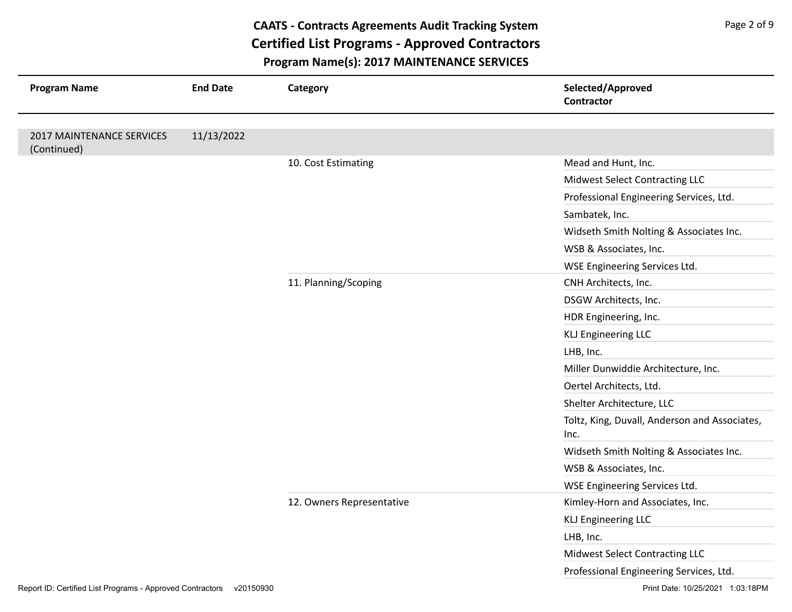| <b>Program Name</b>                      | <b>End Date</b> | Category                  | Selected/Approved<br><b>Contractor</b>                |
|------------------------------------------|-----------------|---------------------------|-------------------------------------------------------|
|                                          |                 |                           |                                                       |
| 2017 MAINTENANCE SERVICES<br>(Continued) | 11/13/2022      |                           |                                                       |
|                                          |                 | 10. Cost Estimating       | Mead and Hunt, Inc.                                   |
|                                          |                 |                           | Midwest Select Contracting LLC                        |
|                                          |                 |                           | Professional Engineering Services, Ltd.               |
|                                          |                 |                           | Sambatek, Inc.                                        |
|                                          |                 |                           | Widseth Smith Nolting & Associates Inc.               |
|                                          |                 |                           | WSB & Associates, Inc.                                |
|                                          |                 |                           | WSE Engineering Services Ltd.                         |
|                                          |                 | 11. Planning/Scoping      | CNH Architects, Inc.                                  |
|                                          |                 |                           | DSGW Architects, Inc.                                 |
|                                          |                 |                           | HDR Engineering, Inc.                                 |
|                                          |                 |                           | <b>KLJ Engineering LLC</b>                            |
|                                          |                 |                           | LHB, Inc.                                             |
|                                          |                 |                           | Miller Dunwiddie Architecture, Inc.                   |
|                                          |                 |                           | Oertel Architects, Ltd.                               |
|                                          |                 |                           | Shelter Architecture, LLC                             |
|                                          |                 |                           | Toltz, King, Duvall, Anderson and Associates,<br>Inc. |
|                                          |                 |                           | Widseth Smith Nolting & Associates Inc.               |
|                                          |                 |                           | WSB & Associates, Inc.                                |
|                                          |                 |                           | WSE Engineering Services Ltd.                         |
|                                          |                 | 12. Owners Representative | Kimley-Horn and Associates, Inc.                      |
|                                          |                 |                           | <b>KLJ Engineering LLC</b>                            |
|                                          |                 |                           | LHB, Inc.                                             |
|                                          |                 |                           | Midwest Select Contracting LLC                        |
|                                          |                 |                           | Professional Engineering Services, Ltd.               |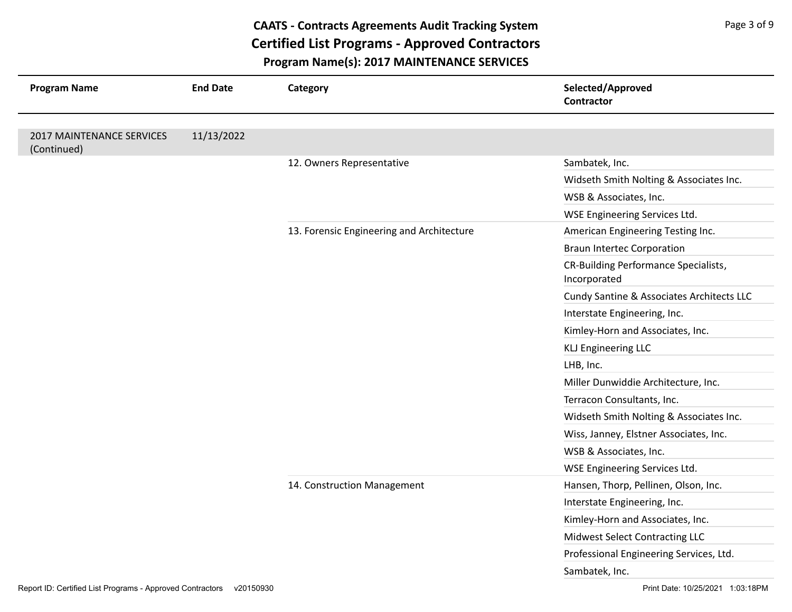| <b>Program Name</b>                      | <b>End Date</b> | Category                                  | Selected/Approved<br><b>Contractor</b>               |
|------------------------------------------|-----------------|-------------------------------------------|------------------------------------------------------|
|                                          |                 |                                           |                                                      |
| 2017 MAINTENANCE SERVICES<br>(Continued) | 11/13/2022      |                                           |                                                      |
|                                          |                 | 12. Owners Representative                 | Sambatek, Inc.                                       |
|                                          |                 |                                           | Widseth Smith Nolting & Associates Inc.              |
|                                          |                 |                                           | WSB & Associates, Inc.                               |
|                                          |                 |                                           | WSE Engineering Services Ltd.                        |
|                                          |                 | 13. Forensic Engineering and Architecture | American Engineering Testing Inc.                    |
|                                          |                 |                                           | <b>Braun Intertec Corporation</b>                    |
|                                          |                 |                                           | CR-Building Performance Specialists,<br>Incorporated |
|                                          |                 |                                           | Cundy Santine & Associates Architects LLC            |
|                                          |                 |                                           | Interstate Engineering, Inc.                         |
|                                          |                 |                                           | Kimley-Horn and Associates, Inc.                     |
|                                          |                 |                                           | <b>KLJ Engineering LLC</b>                           |
|                                          |                 |                                           | LHB, Inc.                                            |
|                                          |                 |                                           | Miller Dunwiddie Architecture, Inc.                  |
|                                          |                 |                                           | Terracon Consultants, Inc.                           |
|                                          |                 |                                           | Widseth Smith Nolting & Associates Inc.              |
|                                          |                 |                                           | Wiss, Janney, Elstner Associates, Inc.               |
|                                          |                 |                                           | WSB & Associates, Inc.                               |
|                                          |                 |                                           | WSE Engineering Services Ltd.                        |
|                                          |                 | 14. Construction Management               | Hansen, Thorp, Pellinen, Olson, Inc.                 |
|                                          |                 |                                           | Interstate Engineering, Inc.                         |
|                                          |                 |                                           | Kimley-Horn and Associates, Inc.                     |
|                                          |                 |                                           | Midwest Select Contracting LLC                       |
|                                          |                 |                                           | Professional Engineering Services, Ltd.              |
|                                          |                 |                                           | Sambatek, Inc.                                       |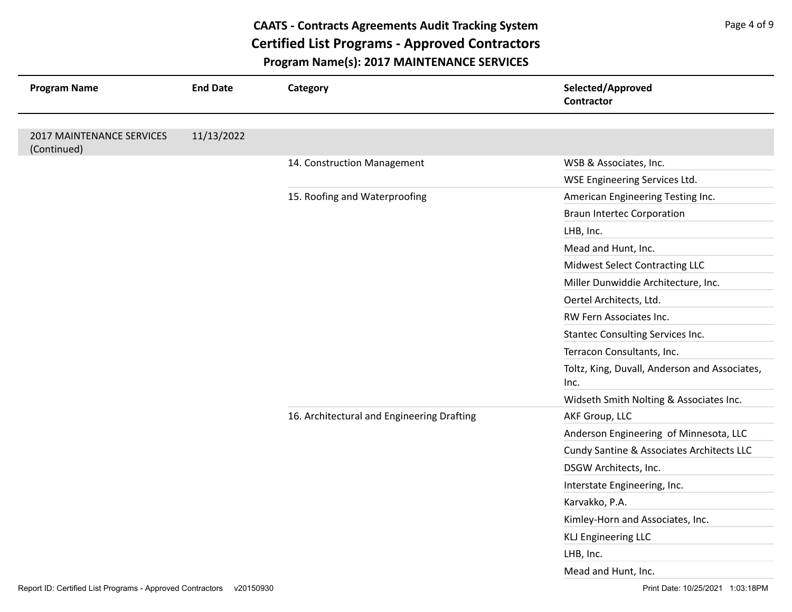| <b>Program Name</b>                      | <b>End Date</b>               | Category                                   | Selected/Approved<br><b>Contractor</b>                |
|------------------------------------------|-------------------------------|--------------------------------------------|-------------------------------------------------------|
|                                          |                               |                                            |                                                       |
| 2017 MAINTENANCE SERVICES<br>(Continued) | 11/13/2022                    |                                            |                                                       |
|                                          |                               | 14. Construction Management                | WSB & Associates, Inc.                                |
|                                          |                               |                                            | WSE Engineering Services Ltd.                         |
|                                          | 15. Roofing and Waterproofing | American Engineering Testing Inc.          |                                                       |
|                                          |                               |                                            | <b>Braun Intertec Corporation</b>                     |
|                                          |                               |                                            | LHB, Inc.                                             |
|                                          |                               |                                            | Mead and Hunt, Inc.                                   |
|                                          |                               |                                            | Midwest Select Contracting LLC                        |
|                                          |                               |                                            | Miller Dunwiddie Architecture, Inc.                   |
|                                          |                               |                                            | Oertel Architects, Ltd.                               |
|                                          |                               |                                            | RW Fern Associates Inc.                               |
|                                          |                               |                                            | Stantec Consulting Services Inc.                      |
|                                          |                               |                                            | Terracon Consultants, Inc.                            |
|                                          |                               |                                            | Toltz, King, Duvall, Anderson and Associates,<br>Inc. |
|                                          |                               |                                            | Widseth Smith Nolting & Associates Inc.               |
|                                          |                               | 16. Architectural and Engineering Drafting | AKF Group, LLC                                        |
|                                          |                               |                                            | Anderson Engineering of Minnesota, LLC                |
|                                          |                               |                                            | Cundy Santine & Associates Architects LLC             |
|                                          |                               |                                            | DSGW Architects, Inc.                                 |
|                                          |                               |                                            | Interstate Engineering, Inc.                          |
|                                          |                               |                                            | Karvakko, P.A.                                        |
|                                          |                               |                                            | Kimley-Horn and Associates, Inc.                      |
|                                          |                               |                                            | <b>KLJ Engineering LLC</b>                            |
|                                          |                               |                                            | LHB, Inc.                                             |
|                                          |                               |                                            | Mead and Hunt, Inc.                                   |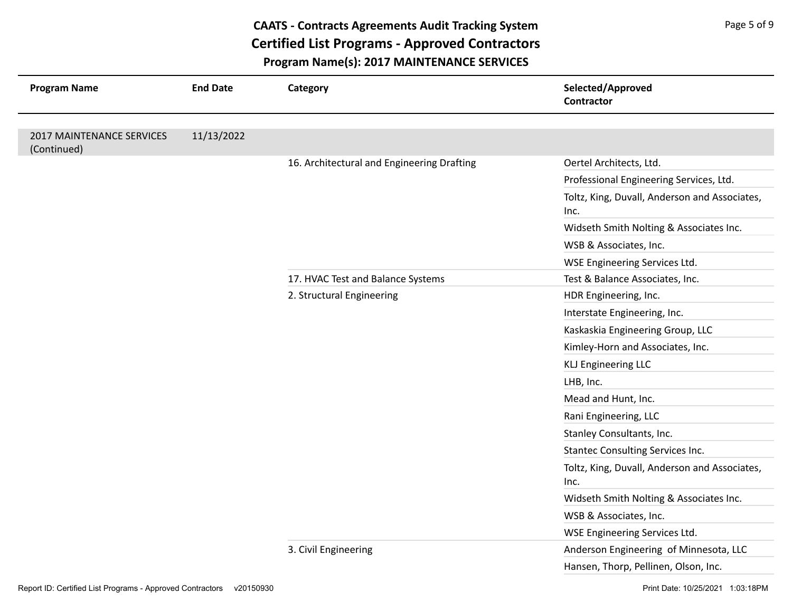| <b>Program Name</b>                      | <b>End Date</b>           | Category                                   | Selected/Approved<br>Contractor                                                                                                                                                                                                                                                                                                                                                                                                                                                                                                                                                                                                       |
|------------------------------------------|---------------------------|--------------------------------------------|---------------------------------------------------------------------------------------------------------------------------------------------------------------------------------------------------------------------------------------------------------------------------------------------------------------------------------------------------------------------------------------------------------------------------------------------------------------------------------------------------------------------------------------------------------------------------------------------------------------------------------------|
|                                          |                           |                                            |                                                                                                                                                                                                                                                                                                                                                                                                                                                                                                                                                                                                                                       |
| 2017 MAINTENANCE SERVICES<br>(Continued) | 11/13/2022                |                                            |                                                                                                                                                                                                                                                                                                                                                                                                                                                                                                                                                                                                                                       |
|                                          |                           | 16. Architectural and Engineering Drafting | Oertel Architects, Ltd.<br>Professional Engineering Services, Ltd.<br>Inc.<br>Widseth Smith Nolting & Associates Inc.<br>WSB & Associates, Inc.<br>WSE Engineering Services Ltd.<br>Test & Balance Associates, Inc.<br>HDR Engineering, Inc.<br>Interstate Engineering, Inc.<br>Kaskaskia Engineering Group, LLC<br>Kimley-Horn and Associates, Inc.<br><b>KLJ Engineering LLC</b><br>LHB, Inc.<br>Mead and Hunt, Inc.<br>Rani Engineering, LLC<br>Stanley Consultants, Inc.<br><b>Stantec Consulting Services Inc.</b><br>Inc.<br>Widseth Smith Nolting & Associates Inc.<br>WSB & Associates, Inc.<br>WSE Engineering Services Ltd. |
|                                          |                           |                                            |                                                                                                                                                                                                                                                                                                                                                                                                                                                                                                                                                                                                                                       |
|                                          |                           |                                            | Toltz, King, Duvall, Anderson and Associates,                                                                                                                                                                                                                                                                                                                                                                                                                                                                                                                                                                                         |
|                                          |                           |                                            |                                                                                                                                                                                                                                                                                                                                                                                                                                                                                                                                                                                                                                       |
|                                          |                           |                                            |                                                                                                                                                                                                                                                                                                                                                                                                                                                                                                                                                                                                                                       |
|                                          |                           |                                            |                                                                                                                                                                                                                                                                                                                                                                                                                                                                                                                                                                                                                                       |
|                                          |                           | 17. HVAC Test and Balance Systems          |                                                                                                                                                                                                                                                                                                                                                                                                                                                                                                                                                                                                                                       |
|                                          | 2. Structural Engineering |                                            |                                                                                                                                                                                                                                                                                                                                                                                                                                                                                                                                                                                                                                       |
|                                          |                           |                                            |                                                                                                                                                                                                                                                                                                                                                                                                                                                                                                                                                                                                                                       |
|                                          |                           |                                            |                                                                                                                                                                                                                                                                                                                                                                                                                                                                                                                                                                                                                                       |
|                                          |                           |                                            |                                                                                                                                                                                                                                                                                                                                                                                                                                                                                                                                                                                                                                       |
|                                          |                           |                                            |                                                                                                                                                                                                                                                                                                                                                                                                                                                                                                                                                                                                                                       |
|                                          |                           |                                            |                                                                                                                                                                                                                                                                                                                                                                                                                                                                                                                                                                                                                                       |
|                                          |                           |                                            |                                                                                                                                                                                                                                                                                                                                                                                                                                                                                                                                                                                                                                       |
|                                          |                           |                                            |                                                                                                                                                                                                                                                                                                                                                                                                                                                                                                                                                                                                                                       |
|                                          |                           |                                            |                                                                                                                                                                                                                                                                                                                                                                                                                                                                                                                                                                                                                                       |
|                                          |                           |                                            |                                                                                                                                                                                                                                                                                                                                                                                                                                                                                                                                                                                                                                       |
|                                          |                           |                                            | Toltz, King, Duvall, Anderson and Associates,                                                                                                                                                                                                                                                                                                                                                                                                                                                                                                                                                                                         |
|                                          |                           |                                            |                                                                                                                                                                                                                                                                                                                                                                                                                                                                                                                                                                                                                                       |
|                                          |                           |                                            |                                                                                                                                                                                                                                                                                                                                                                                                                                                                                                                                                                                                                                       |
|                                          |                           |                                            |                                                                                                                                                                                                                                                                                                                                                                                                                                                                                                                                                                                                                                       |
|                                          |                           | 3. Civil Engineering                       | Anderson Engineering of Minnesota, LLC                                                                                                                                                                                                                                                                                                                                                                                                                                                                                                                                                                                                |
|                                          |                           |                                            | Hansen, Thorp, Pellinen, Olson, Inc.                                                                                                                                                                                                                                                                                                                                                                                                                                                                                                                                                                                                  |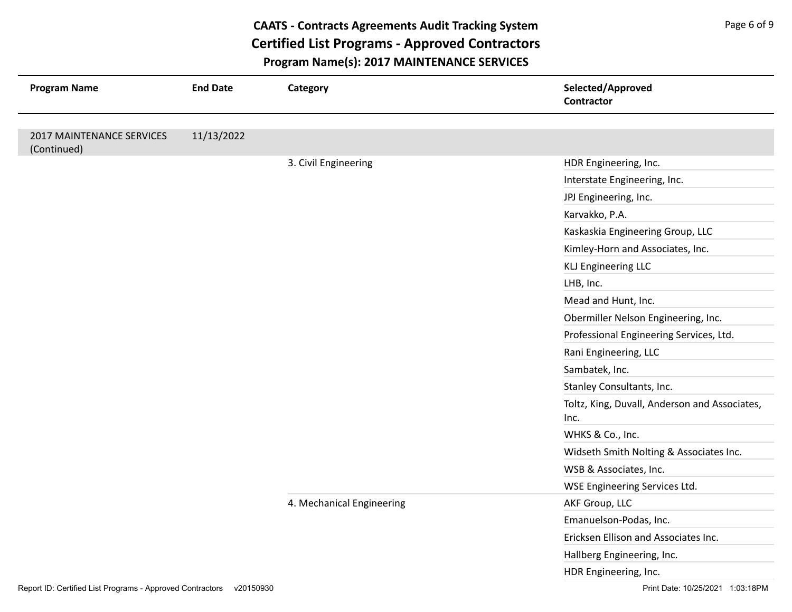| <b>Program Name</b>                      | <b>End Date</b> | Category                  | Selected/Approved<br><b>Contractor</b>        |
|------------------------------------------|-----------------|---------------------------|-----------------------------------------------|
|                                          |                 |                           |                                               |
| 2017 MAINTENANCE SERVICES<br>(Continued) | 11/13/2022      |                           |                                               |
|                                          |                 | 3. Civil Engineering      | HDR Engineering, Inc.                         |
|                                          |                 |                           | Interstate Engineering, Inc.                  |
|                                          |                 |                           | JPJ Engineering, Inc.                         |
|                                          |                 |                           | Karvakko, P.A.                                |
|                                          |                 |                           | Kaskaskia Engineering Group, LLC              |
|                                          |                 |                           | Kimley-Horn and Associates, Inc.              |
|                                          |                 |                           | <b>KLJ Engineering LLC</b>                    |
|                                          |                 |                           | LHB, Inc.                                     |
|                                          |                 |                           | Mead and Hunt, Inc.                           |
|                                          |                 |                           | Obermiller Nelson Engineering, Inc.           |
|                                          |                 |                           | Professional Engineering Services, Ltd.       |
|                                          |                 |                           | Rani Engineering, LLC                         |
|                                          |                 |                           | Sambatek, Inc.                                |
|                                          |                 |                           | Stanley Consultants, Inc.                     |
|                                          |                 |                           | Toltz, King, Duvall, Anderson and Associates, |
|                                          |                 |                           | Inc.                                          |
|                                          |                 |                           | WHKS & Co., Inc.                              |
|                                          |                 |                           | Widseth Smith Nolting & Associates Inc.       |
|                                          |                 |                           | WSB & Associates, Inc.                        |
|                                          |                 |                           | WSE Engineering Services Ltd.                 |
|                                          |                 | 4. Mechanical Engineering | AKF Group, LLC                                |
|                                          |                 |                           | Emanuelson-Podas, Inc.                        |
|                                          |                 |                           | Ericksen Ellison and Associates Inc.          |
|                                          |                 |                           | Hallberg Engineering, Inc.                    |
|                                          |                 |                           | HDR Engineering, Inc.                         |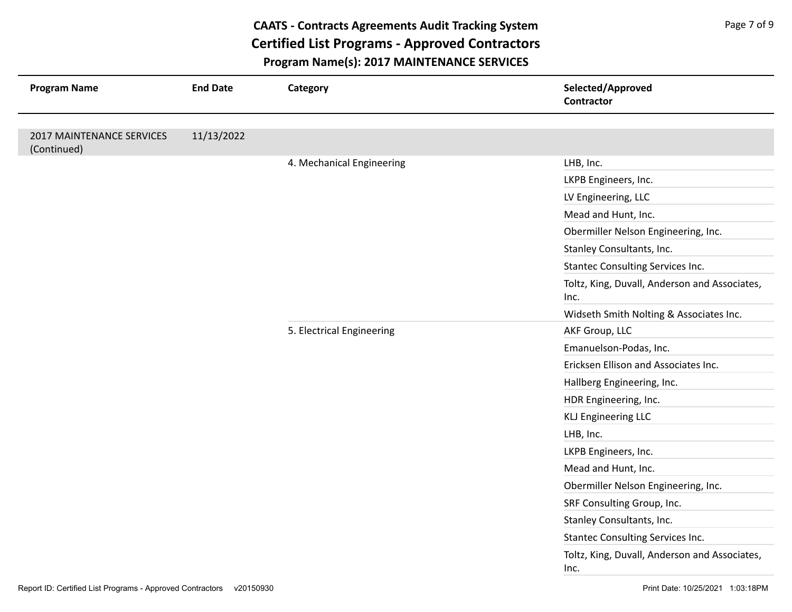| <b>Program Name</b>                      | <b>End Date</b> | Category                  | Selected/Approved<br><b>Contractor</b>                |
|------------------------------------------|-----------------|---------------------------|-------------------------------------------------------|
|                                          |                 |                           |                                                       |
| 2017 MAINTENANCE SERVICES<br>(Continued) | 11/13/2022      |                           |                                                       |
|                                          |                 | 4. Mechanical Engineering | LHB, Inc.                                             |
|                                          |                 |                           | LKPB Engineers, Inc.                                  |
|                                          |                 |                           | LV Engineering, LLC                                   |
|                                          |                 |                           | Mead and Hunt, Inc.                                   |
|                                          |                 |                           | Obermiller Nelson Engineering, Inc.                   |
|                                          |                 |                           | Stanley Consultants, Inc.                             |
|                                          |                 |                           | Stantec Consulting Services Inc.                      |
|                                          |                 |                           | Toltz, King, Duvall, Anderson and Associates,<br>Inc. |
|                                          |                 |                           | Widseth Smith Nolting & Associates Inc.               |
|                                          |                 | 5. Electrical Engineering | AKF Group, LLC                                        |
|                                          |                 |                           | Emanuelson-Podas, Inc.                                |
|                                          |                 |                           | Ericksen Ellison and Associates Inc.                  |
|                                          |                 |                           | Hallberg Engineering, Inc.                            |
|                                          |                 |                           | HDR Engineering, Inc.                                 |
|                                          |                 |                           | <b>KLJ Engineering LLC</b>                            |
|                                          |                 |                           | LHB, Inc.                                             |
|                                          |                 |                           | LKPB Engineers, Inc.                                  |
|                                          |                 |                           | Mead and Hunt, Inc.                                   |
|                                          |                 |                           | Obermiller Nelson Engineering, Inc.                   |
|                                          |                 |                           | SRF Consulting Group, Inc.                            |
|                                          |                 |                           | Stanley Consultants, Inc.                             |
|                                          |                 |                           | Stantec Consulting Services Inc.                      |
|                                          |                 |                           | Toltz, King, Duvall, Anderson and Associates,<br>Inc. |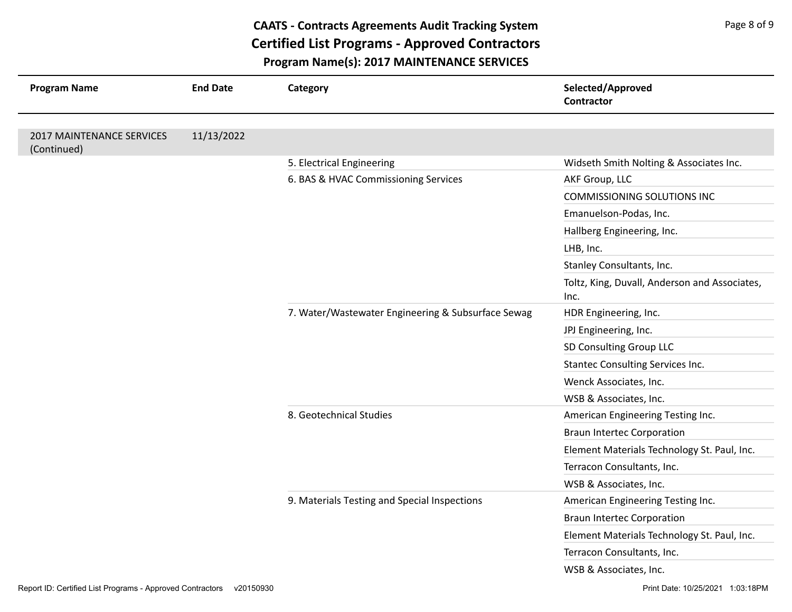| <b>Program Name</b>                      | <b>End Date</b> | Category                                           | Selected/Approved<br><b>Contractor</b>                |
|------------------------------------------|-----------------|----------------------------------------------------|-------------------------------------------------------|
| 2017 MAINTENANCE SERVICES<br>(Continued) | 11/13/2022      |                                                    |                                                       |
|                                          |                 | 5. Electrical Engineering                          | Widseth Smith Nolting & Associates Inc.               |
|                                          |                 | 6. BAS & HVAC Commissioning Services               | AKF Group, LLC                                        |
|                                          |                 |                                                    | <b>COMMISSIONING SOLUTIONS INC</b>                    |
|                                          |                 |                                                    | Emanuelson-Podas, Inc.                                |
|                                          |                 |                                                    | Hallberg Engineering, Inc.                            |
|                                          |                 |                                                    | LHB, Inc.                                             |
|                                          |                 |                                                    | Stanley Consultants, Inc.                             |
|                                          |                 |                                                    | Toltz, King, Duvall, Anderson and Associates,<br>Inc. |
|                                          |                 | 7. Water/Wastewater Engineering & Subsurface Sewag | HDR Engineering, Inc.                                 |
|                                          |                 |                                                    | JPJ Engineering, Inc.                                 |
|                                          |                 |                                                    | SD Consulting Group LLC                               |
|                                          |                 |                                                    | Stantec Consulting Services Inc.                      |
|                                          |                 |                                                    | Wenck Associates, Inc.                                |
|                                          |                 |                                                    | WSB & Associates, Inc.                                |
|                                          |                 | 8. Geotechnical Studies                            | American Engineering Testing Inc.                     |
|                                          |                 |                                                    | <b>Braun Intertec Corporation</b>                     |
|                                          |                 |                                                    | Element Materials Technology St. Paul, Inc.           |
|                                          |                 |                                                    | Terracon Consultants, Inc.                            |
|                                          |                 |                                                    | WSB & Associates, Inc.                                |
|                                          |                 | 9. Materials Testing and Special Inspections       | American Engineering Testing Inc.                     |
|                                          |                 |                                                    | <b>Braun Intertec Corporation</b>                     |
|                                          |                 |                                                    | Element Materials Technology St. Paul, Inc.           |
|                                          |                 |                                                    | Terracon Consultants, Inc.                            |
|                                          |                 |                                                    | WSB & Associates, Inc.                                |